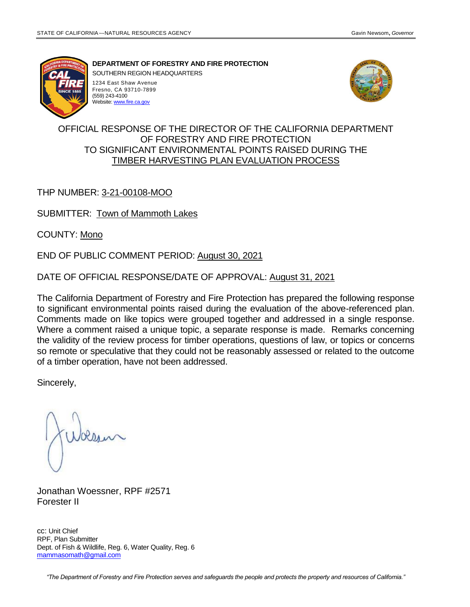

**DEPARTMENT OF FORESTRY AND FIRE PROTECTION**

SOUTHERN REGION HEADQUARTERS

1234 East Shaw Avenue Fresno, CA 93710-7899 (559) 243-4100 Website[: www.fire.ca.gov](http://www.fire.ca.gov/)



#### OFFICIAL RESPONSE OF THE DIRECTOR OF THE CALIFORNIA DEPARTMENT OF FORESTRY AND FIRE PROTECTION TO SIGNIFICANT ENVIRONMENTAL POINTS RAISED DURING THE TIMBER HARVESTING PLAN EVALUATION PROCESS

### THP NUMBER: 3-21-00108-MOO

SUBMITTER: Town of Mammoth Lakes

COUNTY: Mono

END OF PUBLIC COMMENT PERIOD: August 30, 2021

DATE OF OFFICIAL RESPONSE/DATE OF APPROVAL: August 31, 2021

The California Department of Forestry and Fire Protection has prepared the following response to significant environmental points raised during the evaluation of the above-referenced plan. Comments made on like topics were grouped together and addressed in a single response. Where a comment raised a unique topic, a separate response is made. Remarks concerning the validity of the review process for timber operations, questions of law, or topics or concerns so remote or speculative that they could not be reasonably assessed or related to the outcome of a timber operation, have not been addressed.

Sincerely,

Jonathan Woessner, RPF #2571 Forester II

cc: Unit Chief RPF, Plan Submitter Dept. of Fish & Wildlife, Reg. 6, Water Quality, Reg. 6 [mammasomath@gmail.com](mailto:mammasomath@gmail.com)

*"The Department of Forestry and Fire Protection serves and safeguards the people and protects the property and resources of California."*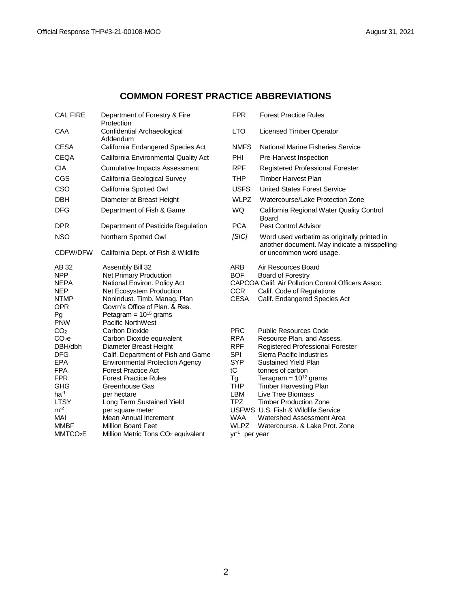### **COMMON FOREST PRACTICE ABBREVIATIONS**

| <b>CAL FIRE</b>        | Department of Forestry & Fire<br>Protection            | <b>FPR</b>               | <b>Forest Practice Rules</b>                                                           |
|------------------------|--------------------------------------------------------|--------------------------|----------------------------------------------------------------------------------------|
| CAA                    | Confidential Archaeological<br>Addendum                | <b>LTO</b>               | <b>Licensed Timber Operator</b>                                                        |
| <b>CESA</b>            | California Endangered Species Act                      | <b>NMFS</b>              | <b>National Marine Fisheries Service</b>                                               |
| <b>CEQA</b>            | California Environmental Quality Act                   | <b>PHI</b>               | Pre-Harvest Inspection                                                                 |
| <b>CIA</b>             | <b>Cumulative Impacts Assessment</b>                   | <b>RPF</b>               | Registered Professional Forester                                                       |
| CGS                    | California Geological Survey                           | <b>THP</b>               | <b>Timber Harvest Plan</b>                                                             |
| CSO                    | California Spotted Owl                                 | <b>USFS</b>              | <b>United States Forest Service</b>                                                    |
| <b>DBH</b>             | Diameter at Breast Height                              | <b>WLPZ</b>              | Watercourse/Lake Protection Zone                                                       |
| <b>DFG</b>             | Department of Fish & Game                              | <b>WQ</b>                | California Regional Water Quality Control<br>Board                                     |
| <b>DPR</b>             | Department of Pesticide Regulation                     | <b>PCA</b>               | <b>Pest Control Advisor</b>                                                            |
| <b>NSO</b>             | Northern Spotted Owl                                   | [SIC]                    | Word used verbatim as originally printed in<br>another document. May indicate a misspe |
| CDFW/DFW               | California Dept. of Fish & Wildlife                    |                          | or uncommon word usage.                                                                |
| AB 32                  | Assembly Bill 32                                       | <b>ARB</b>               | Air Resources Board                                                                    |
| NPP                    | Net Primary Production                                 | <b>BOF</b>               | Board of Forestry                                                                      |
| NEPA                   | National Environ. Policy Act                           |                          | CAPCOA Calif. Air Pollution Control Officers Assoc.                                    |
| NEP                    | Net Ecosystem Production                               | <b>CCR</b>               | Calif. Code of Regulations                                                             |
| NTMP                   | NonIndust. Timb. Manag. Plan                           | <b>CESA</b>              | Calif. Endangered Species Act                                                          |
| OPR                    | Govrn's Office of Plan. & Res.                         |                          |                                                                                        |
| Pg                     | Petagram = $10^{15}$ grams<br><b>Pacific NorthWest</b> |                          |                                                                                        |
| PNW<br>$\mathsf{CO_2}$ | Carbon Dioxide                                         | <b>PRC</b>               | <b>Public Resources Code</b>                                                           |
| CO <sub>2</sub> e      | Carbon Dioxide equivalent                              | <b>RPA</b>               | Resource Plan. and Assess.                                                             |
| DBH/dbh                | Diameter Breast Height                                 | <b>RPF</b>               | <b>Registered Professional Forester</b>                                                |
| DFG                    | Calif. Department of Fish and Game                     | <b>SPI</b>               | Sierra Pacific Industries                                                              |
| EPA                    | <b>Environmental Protection Agency</b>                 | <b>SYP</b>               | <b>Sustained Yield Plan</b>                                                            |
| FPA                    | <b>Forest Practice Act</b>                             | tC                       | tonnes of carbon                                                                       |
| FPR                    | <b>Forest Practice Rules</b>                           | Tg                       | Teragram = $10^{12}$ grams                                                             |
| GHG                    | Greenhouse Gas                                         | <b>THP</b>               | <b>Timber Harvesting Plan</b>                                                          |
| ha <sup>-1</sup>       | per hectare                                            | LBM                      | <b>Live Tree Biomass</b>                                                               |
| LTSY                   | Long Term Sustained Yield                              | TPZ                      | <b>Timber Production Zone</b>                                                          |
| $m-2$                  | per square meter                                       |                          | USFWS U.S. Fish & Wildlife Service                                                     |
| Mai                    | Mean Annual Increment                                  | WAA                      | Watershed Assessment Area                                                              |
| MMBF                   | <b>Million Board Feet</b>                              | <b>WLPZ</b>              | Watercourse, & Lake Prot. Zone                                                         |
| MMTCO2E                | Million Metric Tons CO <sub>2</sub> equivalent         | yr <sup>1</sup> per year |                                                                                        |

| <b>FPR</b>                                                                                          | <b>Forest Practice Rules</b>                                                                                                                                                                                                                                                                        |  |  |
|-----------------------------------------------------------------------------------------------------|-----------------------------------------------------------------------------------------------------------------------------------------------------------------------------------------------------------------------------------------------------------------------------------------------------|--|--|
| LTO                                                                                                 | Licensed Timber Operator                                                                                                                                                                                                                                                                            |  |  |
| <b>NMFS</b>                                                                                         | National Marine Fisheries Service                                                                                                                                                                                                                                                                   |  |  |
| PHI                                                                                                 | Pre-Harvest Inspection                                                                                                                                                                                                                                                                              |  |  |
| <b>RPF</b>                                                                                          | <b>Registered Professional Forester</b>                                                                                                                                                                                                                                                             |  |  |
| THP                                                                                                 | <b>Timber Harvest Plan</b>                                                                                                                                                                                                                                                                          |  |  |
| <b>USFS</b>                                                                                         | United States Forest Service                                                                                                                                                                                                                                                                        |  |  |
| <b>WLPZ</b>                                                                                         | Watercourse/Lake Protection Zone                                                                                                                                                                                                                                                                    |  |  |
| <b>WQ</b>                                                                                           | California Regional Water Quality Control<br>Board                                                                                                                                                                                                                                                  |  |  |
| <b>PCA</b>                                                                                          | Pest Control Advisor                                                                                                                                                                                                                                                                                |  |  |
| [SIC]                                                                                               | Word used verbatim as originally printed in<br>another document. May indicate a misspelling<br>or uncommon word usage.                                                                                                                                                                              |  |  |
| ARB<br><b>BOF</b><br><b>CCR</b><br>CESA                                                             | Air Resources Board<br><b>Board of Forestry</b><br>CAPCOA Calif. Air Pollution Control Officers Assoc.<br>Calif. Code of Regulations<br>Calif. Endangered Species Act                                                                                                                               |  |  |
| <b>PRC</b><br><b>RPA</b><br><b>RPF</b><br><b>SPI</b><br>SYP<br>tC<br>Тg<br>THP<br>LBM<br><b>TPZ</b> | <b>Public Resources Code</b><br>Resource Plan, and Assess.<br><b>Registered Professional Forester</b><br>Sierra Pacific Industries<br>Sustained Yield Plan<br>tonnes of carbon<br>Teragram = $10^{12}$ grams<br><b>Timber Harvesting Plan</b><br>Live Tree Biomass<br><b>Timber Production Zone</b> |  |  |

- 
- 
- 
- $yr<sup>-1</sup>$  per year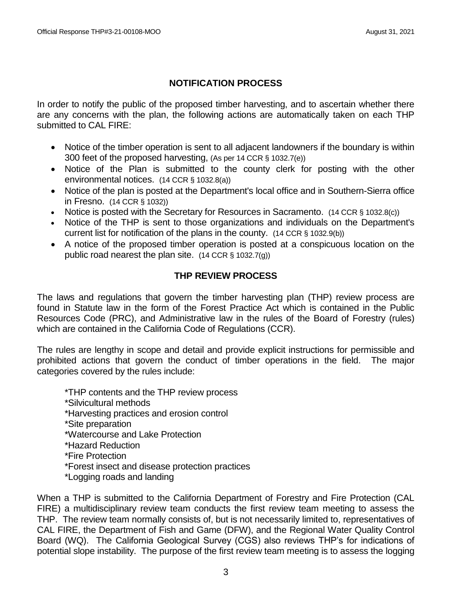## **NOTIFICATION PROCESS**

In order to notify the public of the proposed timber harvesting, and to ascertain whether there are any concerns with the plan, the following actions are automatically taken on each THP submitted to CAL FIRE:

- Notice of the timber operation is sent to all adjacent landowners if the boundary is within 300 feet of the proposed harvesting, (As per 14 CCR § 1032.7(e))
- Notice of the Plan is submitted to the county clerk for posting with the other environmental notices. (14 CCR § 1032.8(a))
- Notice of the plan is posted at the Department's local office and in Southern-Sierra office in Fresno. (14 CCR § 1032))
- Notice is posted with the Secretary for Resources in Sacramento. (14 CCR § 1032.8(c))
- Notice of the THP is sent to those organizations and individuals on the Department's current list for notification of the plans in the county. (14 CCR § 1032.9(b))
- A notice of the proposed timber operation is posted at a conspicuous location on the public road nearest the plan site. (14 CCR § 1032.7(g))

## **THP REVIEW PROCESS**

The laws and regulations that govern the timber harvesting plan (THP) review process are found in Statute law in the form of the Forest Practice Act which is contained in the Public Resources Code (PRC), and Administrative law in the rules of the Board of Forestry (rules) which are contained in the California Code of Regulations (CCR).

The rules are lengthy in scope and detail and provide explicit instructions for permissible and prohibited actions that govern the conduct of timber operations in the field. The major categories covered by the rules include:

\*THP contents and the THP review process

\*Silvicultural methods

\*Harvesting practices and erosion control

\*Site preparation

\*Watercourse and Lake Protection

\*Hazard Reduction

\*Fire Protection

\*Forest insect and disease protection practices

\*Logging roads and landing

When a THP is submitted to the California Department of Forestry and Fire Protection (CAL FIRE) a multidisciplinary review team conducts the first review team meeting to assess the THP. The review team normally consists of, but is not necessarily limited to, representatives of CAL FIRE, the Department of Fish and Game (DFW), and the Regional Water Quality Control Board (WQ). The California Geological Survey (CGS) also reviews THP's for indications of potential slope instability. The purpose of the first review team meeting is to assess the logging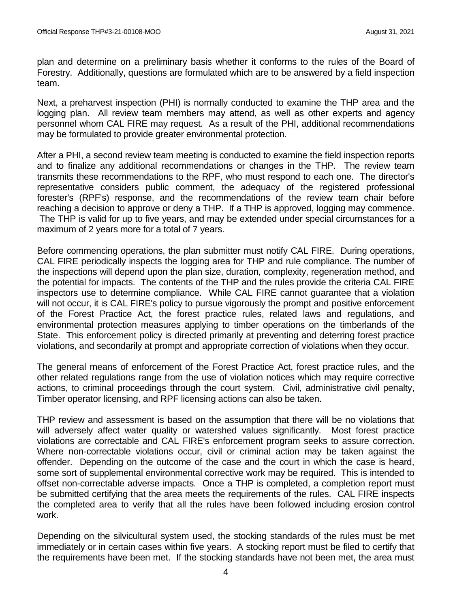plan and determine on a preliminary basis whether it conforms to the rules of the Board of Forestry. Additionally, questions are formulated which are to be answered by a field inspection team.

Next, a preharvest inspection (PHI) is normally conducted to examine the THP area and the logging plan. All review team members may attend, as well as other experts and agency personnel whom CAL FIRE may request. As a result of the PHI, additional recommendations may be formulated to provide greater environmental protection.

After a PHI, a second review team meeting is conducted to examine the field inspection reports and to finalize any additional recommendations or changes in the THP. The review team transmits these recommendations to the RPF, who must respond to each one. The director's representative considers public comment, the adequacy of the registered professional forester's (RPF's) response, and the recommendations of the review team chair before reaching a decision to approve or deny a THP. If a THP is approved, logging may commence. The THP is valid for up to five years, and may be extended under special circumstances for a maximum of 2 years more for a total of 7 years.

Before commencing operations, the plan submitter must notify CAL FIRE. During operations, CAL FIRE periodically inspects the logging area for THP and rule compliance. The number of the inspections will depend upon the plan size, duration, complexity, regeneration method, and the potential for impacts. The contents of the THP and the rules provide the criteria CAL FIRE inspectors use to determine compliance. While CAL FIRE cannot guarantee that a violation will not occur, it is CAL FIRE's policy to pursue vigorously the prompt and positive enforcement of the Forest Practice Act, the forest practice rules, related laws and regulations, and environmental protection measures applying to timber operations on the timberlands of the State. This enforcement policy is directed primarily at preventing and deterring forest practice violations, and secondarily at prompt and appropriate correction of violations when they occur.

The general means of enforcement of the Forest Practice Act, forest practice rules, and the other related regulations range from the use of violation notices which may require corrective actions, to criminal proceedings through the court system. Civil, administrative civil penalty, Timber operator licensing, and RPF licensing actions can also be taken.

THP review and assessment is based on the assumption that there will be no violations that will adversely affect water quality or watershed values significantly. Most forest practice violations are correctable and CAL FIRE's enforcement program seeks to assure correction. Where non-correctable violations occur, civil or criminal action may be taken against the offender. Depending on the outcome of the case and the court in which the case is heard, some sort of supplemental environmental corrective work may be required. This is intended to offset non-correctable adverse impacts. Once a THP is completed, a completion report must be submitted certifying that the area meets the requirements of the rules. CAL FIRE inspects the completed area to verify that all the rules have been followed including erosion control work.

Depending on the silvicultural system used, the stocking standards of the rules must be met immediately or in certain cases within five years. A stocking report must be filed to certify that the requirements have been met. If the stocking standards have not been met, the area must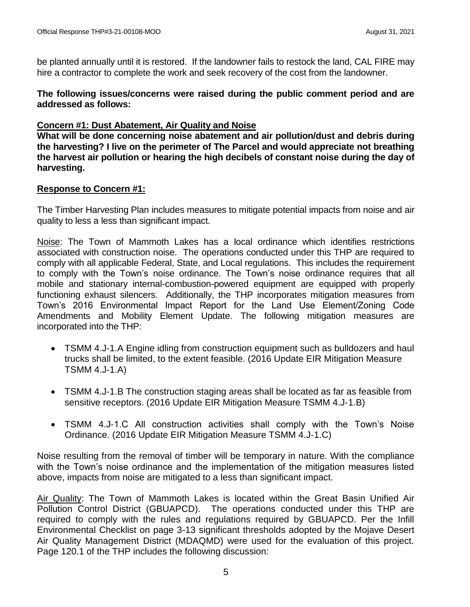be planted annually until it is restored. If the landowner fails to restock the land, CAL FIRE may hire a contractor to complete the work and seek recovery of the cost from the landowner.

**The following issues/concerns were raised during the public comment period and are addressed as follows:**

### **Concern #1: Dust Abatement, Air Quality and Noise**

**What will be done concerning noise abatement and air pollution/dust and debris during the harvesting? I live on the perimeter of The Parcel and would appreciate not breathing the harvest air pollution or hearing the high decibels of constant noise during the day of harvesting.** 

### **Response to Concern #1:**

The Timber Harvesting Plan includes measures to mitigate potential impacts from noise and air quality to less a less than significant impact.

Noise: The Town of Mammoth Lakes has a local ordinance which identifies restrictions associated with construction noise. The operations conducted under this THP are required to comply with all applicable Federal, State, and Local regulations. This includes the requirement to comply with the Town's noise ordinance. The Town's noise ordinance requires that all mobile and stationary internal-combustion-powered equipment are equipped with properly functioning exhaust silencers. Additionally, the THP incorporates mitigation measures from Town's 2016 Environmental Impact Report for the Land Use Element/Zoning Code Amendments and Mobility Element Update. The following mitigation measures are incorporated into the THP:

- TSMM 4.J-1.A Engine idling from construction equipment such as bulldozers and haul trucks shall be limited, to the extent feasible. (2016 Update EIR Mitigation Measure TSMM 4.J‐1.A)
- TSMM 4.J-1.B The construction staging areas shall be located as far as feasible from sensitive receptors. (2016 Update EIR Mitigation Measure TSMM 4.J‐1.B)
- TSMM 4.J‐1.C All construction activities shall comply with the Town's Noise Ordinance. (2016 Update EIR Mitigation Measure TSMM 4.J‐1.C)

Noise resulting from the removal of timber will be temporary in nature. With the compliance with the Town's noise ordinance and the implementation of the mitigation measures listed above, impacts from noise are mitigated to a less than significant impact.

Air Quality: The Town of Mammoth Lakes is located within the Great Basin Unified Air Pollution Control District (GBUAPCD). The operations conducted under this THP are required to comply with the rules and regulations required by GBUAPCD. Per the Infill Environmental Checklist on page 3-13 significant thresholds adopted by the Mojave Desert Air Quality Management District (MDAQMD) were used for the evaluation of this project. Page 120.1 of the THP includes the following discussion: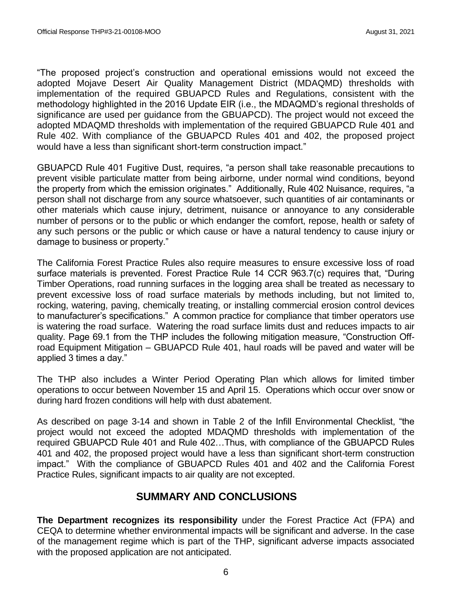"The proposed project's construction and operational emissions would not exceed the adopted Mojave Desert Air Quality Management District (MDAQMD) thresholds with implementation of the required GBUAPCD Rules and Regulations, consistent with the methodology highlighted in the 2016 Update EIR (i.e., the MDAQMD's regional thresholds of significance are used per guidance from the GBUAPCD). The project would not exceed the adopted MDAQMD thresholds with implementation of the required GBUAPCD Rule 401 and Rule 402. With compliance of the GBUAPCD Rules 401 and 402, the proposed project would have a less than significant short-term construction impact."

GBUAPCD Rule 401 Fugitive Dust, requires, "a person shall take reasonable precautions to prevent visible particulate matter from being airborne, under normal wind conditions, beyond the property from which the emission originates." Additionally, Rule 402 Nuisance, requires, "a person shall not discharge from any source whatsoever, such quantities of air contaminants or other materials which cause injury, detriment, nuisance or annoyance to any considerable number of persons or to the public or which endanger the comfort, repose, health or safety of any such persons or the public or which cause or have a natural tendency to cause injury or damage to business or property."

The California Forest Practice Rules also require measures to ensure excessive loss of road surface materials is prevented. Forest Practice Rule 14 CCR 963.7(c) requires that, "During Timber Operations, road running surfaces in the logging area shall be treated as necessary to prevent excessive loss of road surface materials by methods including, but not limited to, rocking, watering, paving, chemically treating, or installing commercial erosion control devices to manufacturer's specifications." A common practice for compliance that timber operators use is watering the road surface. Watering the road surface limits dust and reduces impacts to air quality. Page 69.1 from the THP includes the following mitigation measure, "Construction Offroad Equipment Mitigation – GBUAPCD Rule 401, haul roads will be paved and water will be applied 3 times a day."

The THP also includes a Winter Period Operating Plan which allows for limited timber operations to occur between November 15 and April 15. Operations which occur over snow or during hard frozen conditions will help with dust abatement.

As described on page 3-14 and shown in Table 2 of the Infill Environmental Checklist, "the project would not exceed the adopted MDAQMD thresholds with implementation of the required GBUAPCD Rule 401 and Rule 402…Thus, with compliance of the GBUAPCD Rules 401 and 402, the proposed project would have a less than significant short-term construction impact." With the compliance of GBUAPCD Rules 401 and 402 and the California Forest Practice Rules, significant impacts to air quality are not excepted.

# **SUMMARY AND CONCLUSIONS**

**The Department recognizes its responsibility** under the Forest Practice Act (FPA) and CEQA to determine whether environmental impacts will be significant and adverse. In the case of the management regime which is part of the THP, significant adverse impacts associated with the proposed application are not anticipated.